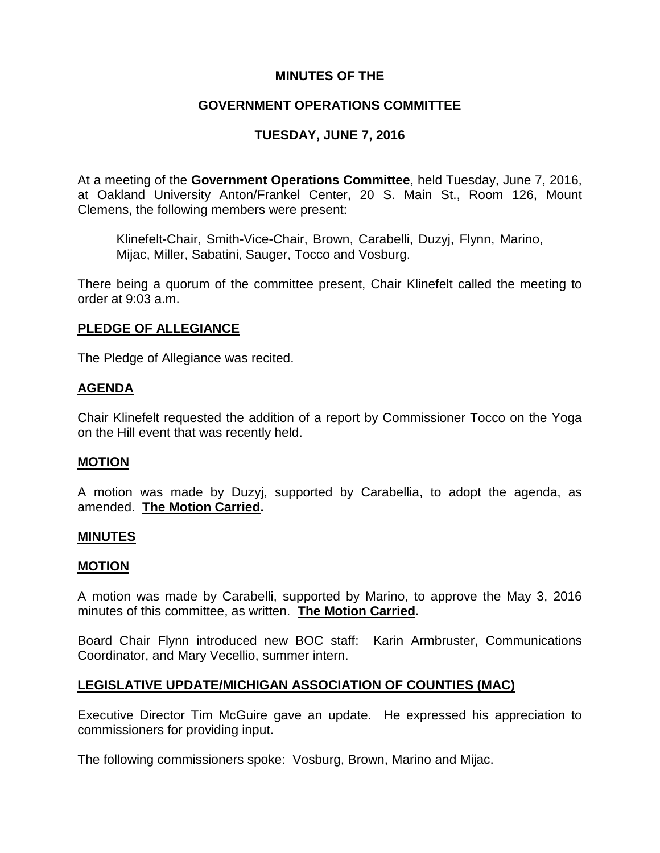## **MINUTES OF THE**

## **GOVERNMENT OPERATIONS COMMITTEE**

# **TUESDAY, JUNE 7, 2016**

At a meeting of the **Government Operations Committee**, held Tuesday, June 7, 2016, at Oakland University Anton/Frankel Center, 20 S. Main St., Room 126, Mount Clemens, the following members were present:

Klinefelt-Chair, Smith-Vice-Chair, Brown, Carabelli, Duzyj, Flynn, Marino, Mijac, Miller, Sabatini, Sauger, Tocco and Vosburg.

There being a quorum of the committee present, Chair Klinefelt called the meeting to order at 9:03 a.m.

## **PLEDGE OF ALLEGIANCE**

The Pledge of Allegiance was recited.

## **AGENDA**

Chair Klinefelt requested the addition of a report by Commissioner Tocco on the Yoga on the Hill event that was recently held.

### **MOTION**

A motion was made by Duzyj, supported by Carabellia, to adopt the agenda, as amended. **The Motion Carried.**

#### **MINUTES**

#### **MOTION**

A motion was made by Carabelli, supported by Marino, to approve the May 3, 2016 minutes of this committee, as written. **The Motion Carried.**

Board Chair Flynn introduced new BOC staff: Karin Armbruster, Communications Coordinator, and Mary Vecellio, summer intern.

### **LEGISLATIVE UPDATE/MICHIGAN ASSOCIATION OF COUNTIES (MAC)**

Executive Director Tim McGuire gave an update. He expressed his appreciation to commissioners for providing input.

The following commissioners spoke: Vosburg, Brown, Marino and Mijac.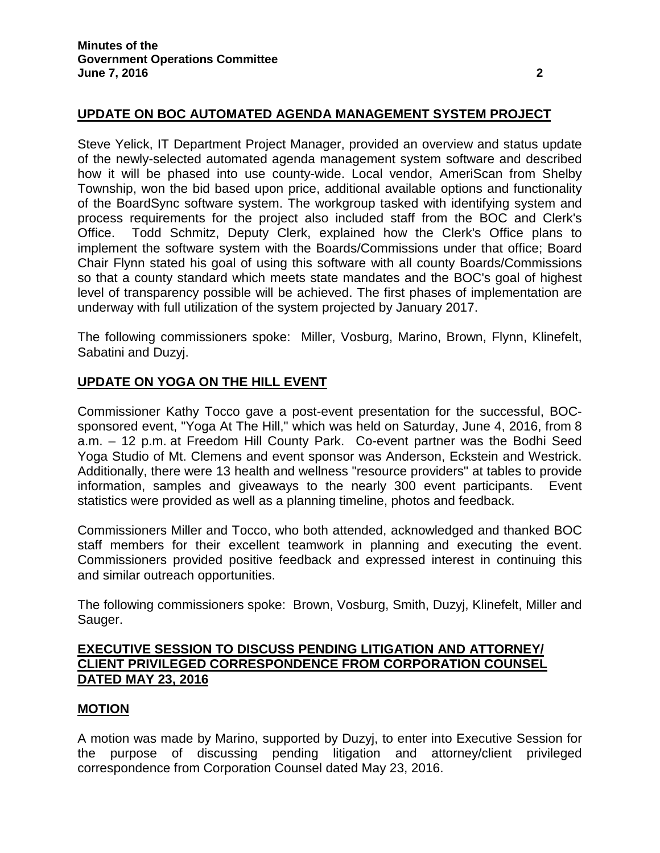# **UPDATE ON BOC AUTOMATED AGENDA MANAGEMENT SYSTEM PROJECT**

Steve Yelick, IT Department Project Manager, provided an overview and status update of the newly-selected automated agenda management system software and described how it will be phased into use county-wide. Local vendor, AmeriScan from Shelby Township, won the bid based upon price, additional available options and functionality of the BoardSync software system. The workgroup tasked with identifying system and process requirements for the project also included staff from the BOC and Clerk's Office. Todd Schmitz, Deputy Clerk, explained how the Clerk's Office plans to implement the software system with the Boards/Commissions under that office; Board Chair Flynn stated his goal of using this software with all county Boards/Commissions so that a county standard which meets state mandates and the BOC's goal of highest level of transparency possible will be achieved. The first phases of implementation are underway with full utilization of the system projected by January 2017.

The following commissioners spoke: Miller, Vosburg, Marino, Brown, Flynn, Klinefelt, Sabatini and Duzyj.

# **UPDATE ON YOGA ON THE HILL EVENT**

Commissioner Kathy Tocco gave a post-event presentation for the successful, BOCsponsored event, "Yoga At The Hill," which was held on Saturday, June 4, 2016, from 8 a.m. – 12 p.m. at Freedom Hill County Park. Co-event partner was the Bodhi Seed Yoga Studio of Mt. Clemens and event sponsor was Anderson, Eckstein and Westrick. Additionally, there were 13 health and wellness "resource providers" at tables to provide information, samples and giveaways to the nearly 300 event participants. Event statistics were provided as well as a planning timeline, photos and feedback.

Commissioners Miller and Tocco, who both attended, acknowledged and thanked BOC staff members for their excellent teamwork in planning and executing the event. Commissioners provided positive feedback and expressed interest in continuing this and similar outreach opportunities.

The following commissioners spoke: Brown, Vosburg, Smith, Duzyj, Klinefelt, Miller and Sauger.

## **EXECUTIVE SESSION TO DISCUSS PENDING LITIGATION AND ATTORNEY/ CLIENT PRIVILEGED CORRESPONDENCE FROM CORPORATION COUNSEL DATED MAY 23, 2016**

## **MOTION**

A motion was made by Marino, supported by Duzyj, to enter into Executive Session for the purpose of discussing pending litigation and attorney/client privileged correspondence from Corporation Counsel dated May 23, 2016.